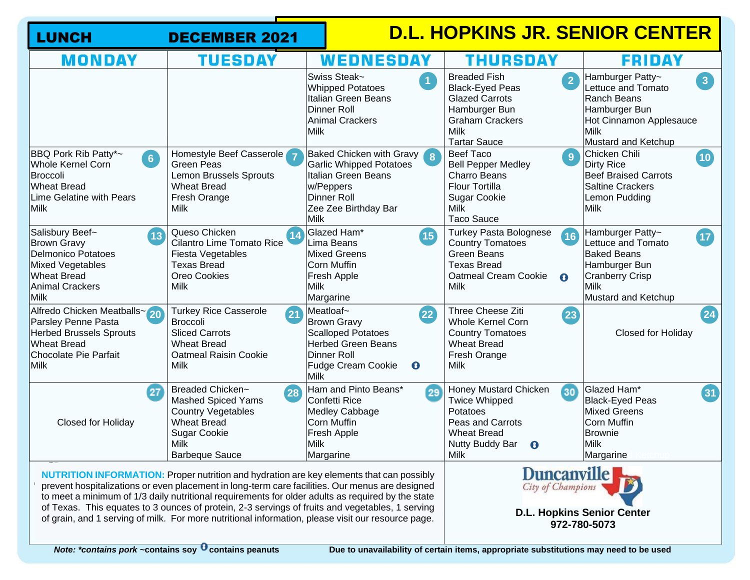| <b>LUNCH</b>                                                                                                                                                                                                                                                                                                                                                                                                                                                                                                     | <b>DECEMBER 2021</b>                                                                                                                                           |                                                                                                                                                                                | D.L. HOPKINS JR. SENIOR CENTER                                                                                                                                            |                                                                                                                                                                         |
|------------------------------------------------------------------------------------------------------------------------------------------------------------------------------------------------------------------------------------------------------------------------------------------------------------------------------------------------------------------------------------------------------------------------------------------------------------------------------------------------------------------|----------------------------------------------------------------------------------------------------------------------------------------------------------------|--------------------------------------------------------------------------------------------------------------------------------------------------------------------------------|---------------------------------------------------------------------------------------------------------------------------------------------------------------------------|-------------------------------------------------------------------------------------------------------------------------------------------------------------------------|
| <b>MONDAY</b>                                                                                                                                                                                                                                                                                                                                                                                                                                                                                                    | TUESDAY                                                                                                                                                        | WEDNESDAY                                                                                                                                                                      | THURSDAY                                                                                                                                                                  | <b>FRIDAY</b>                                                                                                                                                           |
|                                                                                                                                                                                                                                                                                                                                                                                                                                                                                                                  |                                                                                                                                                                | Swiss Steak~<br>$\overline{1}$<br><b>Whipped Potatoes</b><br>Italian Green Beans<br>Dinner Roll<br>Animal Crackers<br>Milk                                                     | <b>Breaded Fish</b><br>$\overline{2}$<br><b>Black-Eyed Peas</b><br><b>Glazed Carrots</b><br>Hamburger Bun<br><b>Graham Crackers</b><br><b>Milk</b><br><b>Tartar Sauce</b> | Hamburger Patty~<br>3 <sup>1</sup><br>Lettuce and Tomato<br><b>Ranch Beans</b><br>Hamburger Bun<br>Hot Cinnamon Applesauce<br><b>Milk</b><br><b>Mustard and Ketchup</b> |
| BBQ Pork Rib Patty*~<br>6<br><b>Whole Kernel Corn</b><br><b>Broccoli</b><br><b>Wheat Bread</b><br>Lime Gelatine with Pears<br><b>Milk</b>                                                                                                                                                                                                                                                                                                                                                                        | Homestyle Beef Casserole<br><b>Green Peas</b><br>Lemon Brussels Sprouts<br><b>Wheat Bread</b><br>Fresh Orange<br>Milk                                          | Baked Chicken with Gravy 8<br><b>Garlic Whipped Potatoes</b><br>Italian Green Beans<br>w/Peppers<br>Dinner Roll<br>Zee Zee Birthday Bar<br>Milk                                | <b>Beef Taco</b><br>9<br><b>Bell Pepper Medley</b><br><b>Charro Beans</b><br><b>Flour Tortilla</b><br><b>Sugar Cookie</b><br><b>Milk</b><br><b>Taco Sauce</b>             | Chicken Chili<br>$\left( 10 \right)$<br><b>Dirty Rice</b><br><b>Beef Braised Carrots</b><br><b>Saltine Crackers</b><br>Lemon Pudding<br><b>Milk</b>                     |
| Salisbury Beef~<br>$\sqrt{13}$<br><b>Brown Gravy</b><br><b>Delmonico Potatoes</b><br><b>Mixed Vegetables</b><br><b>Wheat Bread</b><br><b>Animal Crackers</b><br><b>Milk</b>                                                                                                                                                                                                                                                                                                                                      | Queso Chicken<br>(14<br>Cilantro Lime Tomato Rice<br>Fiesta Vegetables<br><b>Texas Bread</b><br>Oreo Cookies<br><b>Milk</b>                                    | Glazed Ham*<br>$\overline{15}$<br>Lima Beans<br>Mixed Greens<br>Corn Muffin<br>Fresh Apple<br>Milk<br>Margarine                                                                | <b>Turkey Pasta Bolognese</b><br>16<br><b>Country Tomatoes</b><br><b>Green Beans</b><br><b>Texas Bread</b><br><b>Oatmeal Cream Cookie</b><br>$\mathbf{o}$<br>Milk         | Hamburger Patty~<br><b>17</b><br>Lettuce and Tomato<br><b>Baked Beans</b><br>Hamburger Bun<br><b>Cranberry Crisp</b><br>Milk<br><b>Mustard and Ketchup</b>              |
| Alfredo Chicken Meatballs~20<br>Parsley Penne Pasta<br><b>Herbed Brussels Sprouts</b><br><b>Wheat Bread</b><br>Chocolate Pie Parfait<br><b>Milk</b>                                                                                                                                                                                                                                                                                                                                                              | <b>Turkey Rice Casserole</b><br>$\overline{21}$<br>Broccoli<br><b>Sliced Carrots</b><br><b>Wheat Bread</b><br><b>Oatmeal Raisin Cookie</b><br><b>Milk</b>      | Meatloaf~<br>$\overline{22}$<br><b>Brown Gravy</b><br><b>Scalloped Potatoes</b><br><b>Herbed Green Beans</b><br>Dinner Roll<br>$\mathbf{\Theta}$<br>Fudge Cream Cookie<br>Milk | Three Cheese Ziti<br>(23)<br><b>Whole Kernel Corn</b><br><b>Country Tomatoes</b><br><b>Wheat Bread</b><br>Fresh Orange<br><b>Milk</b>                                     | $\overline{\mathbf{24}}$<br>Closed for Holiday                                                                                                                          |
| $\overline{27}$<br><b>Closed for Holiday</b>                                                                                                                                                                                                                                                                                                                                                                                                                                                                     | Breaded Chicken~<br>28<br><b>Mashed Spiced Yams</b><br><b>Country Vegetables</b><br><b>Wheat Bread</b><br><b>Sugar Cookie</b><br>Milk<br><b>Barbeque Sauce</b> | Ham and Pinto Beans*<br>29<br>Confetti Rice<br>Medley Cabbage<br>Corn Muffin<br>Fresh Apple<br>Milk!<br>Margarine                                                              | Honey Mustard Chicken<br>$\overline{30}$<br><b>Twice Whipped</b><br>Potatoes<br>Peas and Carrots<br><b>Wheat Bread</b><br>Nutty Buddy Bar <b>O</b><br>Milk                | Glazed Ham*<br>$\boxed{31}$<br><b>Black-Eyed Peas</b><br><b>Mixed Greens</b><br><b>Corn Muffin</b><br><b>Brownie</b><br>Milk<br>Margarine                               |
| <b>NUTRITION INFORMATION:</b> Proper nutrition and hydration are key elements that can possibly<br>prevent hospitalizations or even placement in long-term care facilities. Our menus are designed<br>to meet a minimum of 1/3 daily nutritional requirements for older adults as required by the state<br>of Texas. This equates to 3 ounces of protein, 2-3 servings of fruits and vegetables, 1 serving<br>of grain, and 1 serving of milk. For more nutritional information, please visit our resource page. |                                                                                                                                                                |                                                                                                                                                                                | Duncanville<br><b>D.L. Hopkins Senior Center</b><br>972-780-5073                                                                                                          |                                                                                                                                                                         |